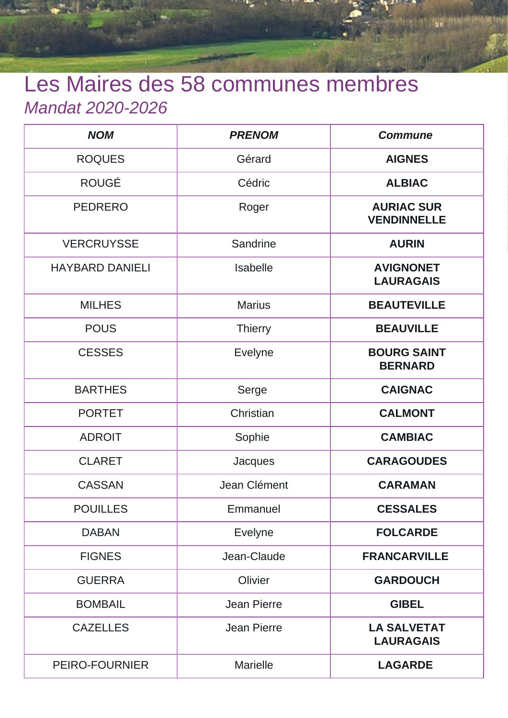## Les Maires des 58 communes membres Mandat 2020-2026

| <b>NOM</b>             | <b>PRENOM</b>      | <b>Commune</b>                          |
|------------------------|--------------------|-----------------------------------------|
| <b>ROQUES</b>          | Gérard             | <b>AIGNES</b>                           |
| <b>ROUGÉ</b>           | Cédric             | <b>ALBIAC</b>                           |
| <b>PEDRERO</b>         | Roger              | <b>AURIAC SUR</b><br><b>VENDINNELLE</b> |
| <b>VERCRUYSSE</b>      | Sandrine           | <b>AURIN</b>                            |
| <b>HAYBARD DANIELI</b> | <b>Isabelle</b>    | <b>AVIGNONET</b><br><b>LAURAGAIS</b>    |
| <b>MILHES</b>          | <b>Marius</b>      | <b>BEAUTEVILLE</b>                      |
| <b>POUS</b>            | <b>Thierry</b>     | <b>BEAUVILLE</b>                        |
| <b>CESSES</b>          | <b>Evelyne</b>     | <b>BOURG SAINT</b><br><b>BERNARD</b>    |
| <b>BARTHES</b>         | Serge              | <b>CAIGNAC</b>                          |
| <b>PORTET</b>          | Christian          | <b>CALMONT</b>                          |
| <b>ADROIT</b>          | Sophie             | <b>CAMBIAC</b>                          |
| <b>CLARET</b>          | Jacques            | <b>CARAGOUDES</b>                       |
| <b>CASSAN</b>          | Jean Clément       | <b>CARAMAN</b>                          |
| <b>POUILLES</b>        | Emmanuel           | <b>CESSALES</b>                         |
| <b>DABAN</b>           | Evelyne            | <b>FOLCARDE</b>                         |
| <b>FIGNES</b>          | Jean-Claude        | <b>FRANCARVILLE</b>                     |
| <b>GUERRA</b>          | Olivier            | <b>GARDOUCH</b>                         |
| <b>BOMBAIL</b>         | <b>Jean Pierre</b> | <b>GIBEL</b>                            |
| <b>CAZELLES</b>        | <b>Jean Pierre</b> | <b>LA SALVETAT</b><br><b>LAURAGAIS</b>  |
| PEIRO-FOURNIER         | <b>Marielle</b>    | <b>LAGARDE</b>                          |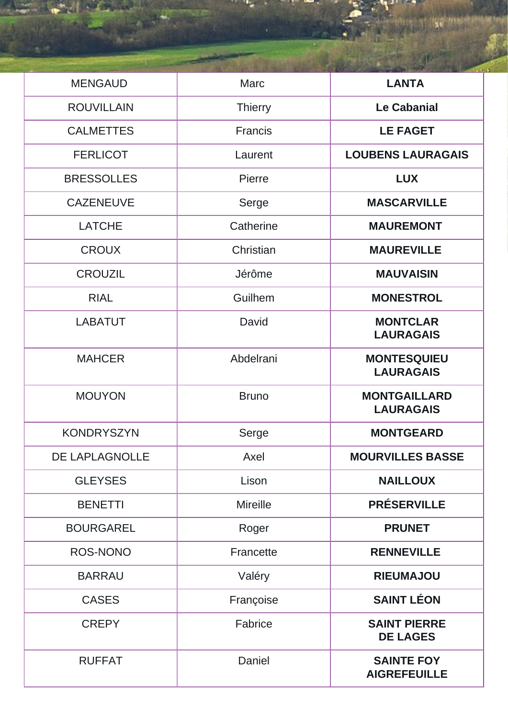| <b>MENGAUD</b>    | Marc            | <b>LANTA</b>                             |
|-------------------|-----------------|------------------------------------------|
| <b>ROUVILLAIN</b> | <b>Thierry</b>  | <b>Le Cabanial</b>                       |
| <b>CALMETTES</b>  | Francis         | <b>LE FAGET</b>                          |
| <b>FERLICOT</b>   | Laurent         | <b>LOUBENS LAURAGAIS</b>                 |
| <b>BRESSOLLES</b> | Pierre          | <b>LUX</b>                               |
| <b>CAZENEUVE</b>  | Serge           | <b>MASCARVILLE</b>                       |
| <b>LATCHE</b>     | Catherine       | <b>MAUREMONT</b>                         |
| <b>CROUX</b>      | Christian       | <b>MAUREVILLE</b>                        |
| <b>CROUZIL</b>    | Jérôme          | <b>MAUVAISIN</b>                         |
| <b>RIAL</b>       | Guilhem         | <b>MONESTROL</b>                         |
| <b>LABATUT</b>    | David           | <b>MONTCLAR</b><br><b>LAURAGAIS</b>      |
| <b>MAHCER</b>     | Abdelrani       | <b>MONTESQUIEU</b><br><b>LAURAGAIS</b>   |
| <b>MOUYON</b>     | <b>Bruno</b>    | <b>MONTGAILLARD</b><br><b>LAURAGAIS</b>  |
| <b>KONDRYSZYN</b> | Serge           | <b>MONTGEARD</b>                         |
| DE LAPLAGNOLLE    | Axel            | <b>MOURVILLES BASSE</b>                  |
| <b>GLEYSES</b>    | Lison           | <b>NAILLOUX</b>                          |
| <b>BENETTI</b>    | <b>Mireille</b> | <b>PRÉSERVILLE</b>                       |
| <b>BOURGAREL</b>  | Roger           | <b>PRUNET</b>                            |
| <b>ROS-NONO</b>   | Francette       | <b>RENNEVILLE</b>                        |
| <b>BARRAU</b>     | Valéry          | <b>RIEUMAJOU</b>                         |
| <b>CASES</b>      | Françoise       | <b>SAINT LÉON</b>                        |
| <b>CREPY</b>      | Fabrice         | <b>SAINT PIERRE</b><br><b>DE LAGES</b>   |
| <b>RUFFAT</b>     | Daniel          | <b>SAINTE FOY</b><br><b>AIGREFEUILLE</b> |

**Se Strait**